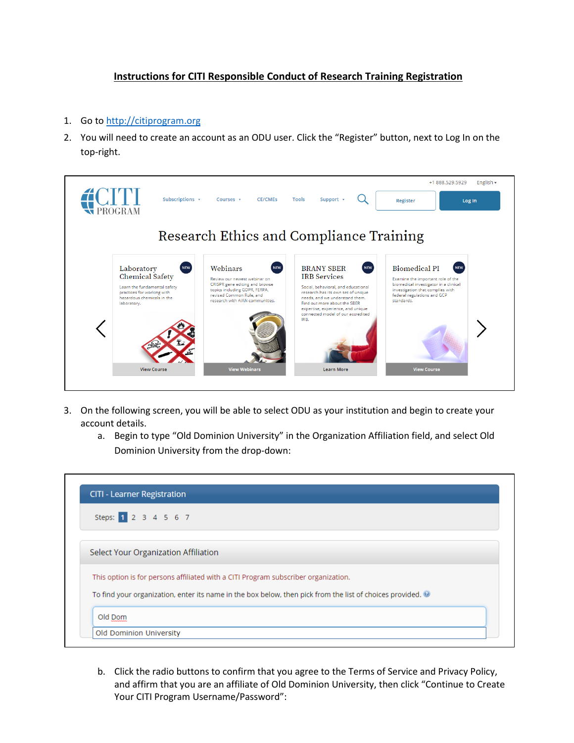## **Instructions for CITI Responsible Conduct of Research Training Registration**

- 1. Go to [http://citiprogram.org](http://citiprogram.org/)
- 2. You will need to create an account as an ODU user. Click the "Register" button, next to Log In on the top-right.



- 3. On the following screen, you will be able to select ODU as your institution and begin to create your account details.
	- a. Begin to type "Old Dominion University" in the Organization Affiliation field, and select Old Dominion University from the drop-down:



b. Click the radio buttons to confirm that you agree to the Terms of Service and Privacy Policy, and affirm that you are an affiliate of Old Dominion University, then click "Continue to Create Your CITI Program Username/Password":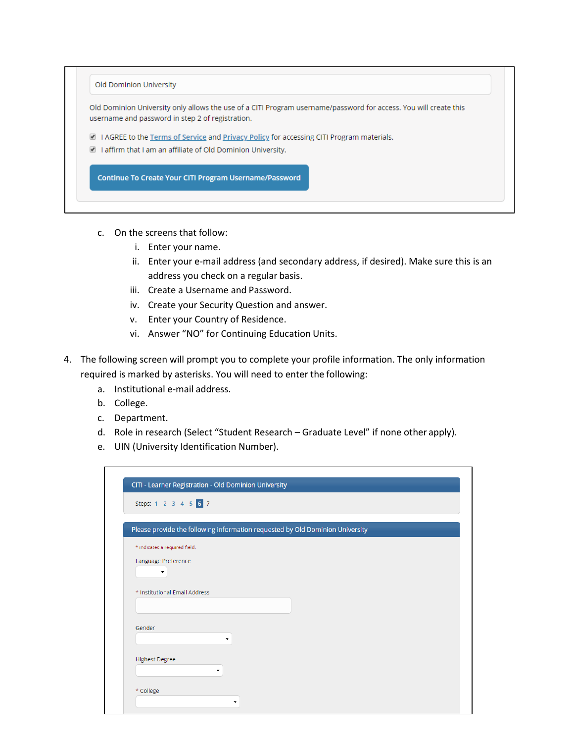| Old Dominion University only allows the use of a CITI Program username/password for access. You will create this<br>username and password in step 2 of registration. |
|----------------------------------------------------------------------------------------------------------------------------------------------------------------------|
| A I AGREE to the Terms of Service and Privacy Policy for accessing CITI Program materials.                                                                           |
| $\Box$ I affirm that I am an affiliate of Old Dominion University.                                                                                                   |

- c. On the screens that follow:
	- i. Enter your name.
	- ii. Enter your e-mail address (and secondary address, if desired). Make sure this is an address you check on a regular basis.
	- iii. Create a Username and Password.
	- iv. Create your Security Question and answer.
	- v. Enter your Country of Residence.
	- vi. Answer "NO" for Continuing Education Units.
- 4. The following screen will prompt you to complete your profile information. The only information required is marked by asterisks. You will need to enter the following:
	- a. Institutional e-mail address.
	- b. College.
	- c. Department.
	- d. Role in research (Select "Student Research Graduate Level" if none other apply).
	- e. UIN (University Identification Number).

| Please provide the following information requested by Old Dominion University |   |  |  |
|-------------------------------------------------------------------------------|---|--|--|
| * indicates a required field.                                                 |   |  |  |
| Language Preference                                                           |   |  |  |
| $\blacktriangledown$                                                          |   |  |  |
|                                                                               |   |  |  |
| * Institutional Email Address                                                 |   |  |  |
|                                                                               |   |  |  |
| Gender                                                                        |   |  |  |
|                                                                               | ۰ |  |  |
|                                                                               |   |  |  |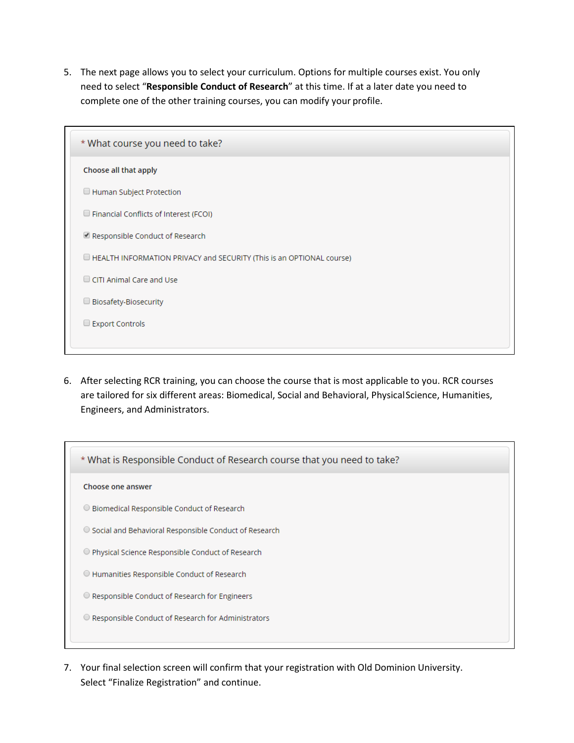5. The next page allows you to select your curriculum. Options for multiple courses exist. You only need to select "**Responsible Conduct of Research**" at this time. If at a later date you need to complete one of the other training courses, you can modify your profile.

| * What course you need to take?                                      |
|----------------------------------------------------------------------|
| Choose all that apply                                                |
| Human Subject Protection                                             |
| $\Box$ Financial Conflicts of Interest (FCOI)                        |
| Responsible Conduct of Research                                      |
| HEALTH INFORMATION PRIVACY and SECURITY (This is an OPTIONAL course) |
| CITI Animal Care and Use                                             |
| $\Box$ Biosafety-Biosecurity                                         |
| Export Controls                                                      |
|                                                                      |

6. After selecting RCR training, you can choose the course that is most applicable to you. RCR courses are tailored for six different areas: Biomedical, Social and Behavioral, PhysicalScience, Humanities, Engineers, and Administrators.



7. Your final selection screen will confirm that your registration with Old Dominion University. Select "Finalize Registration" and continue.